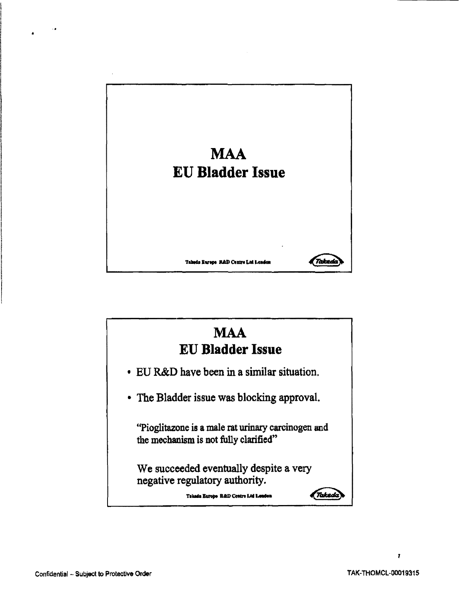



•

 $\mathbf{r}$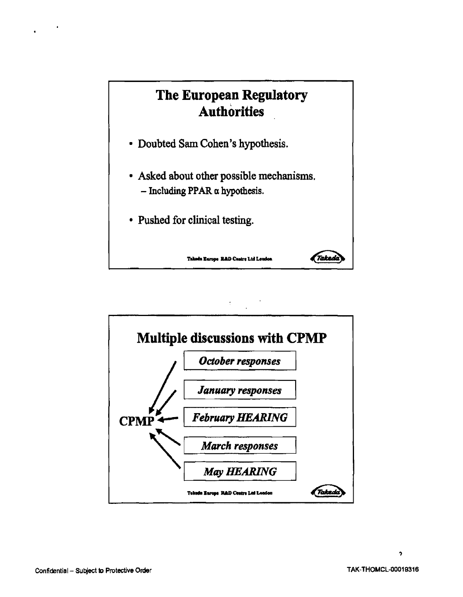

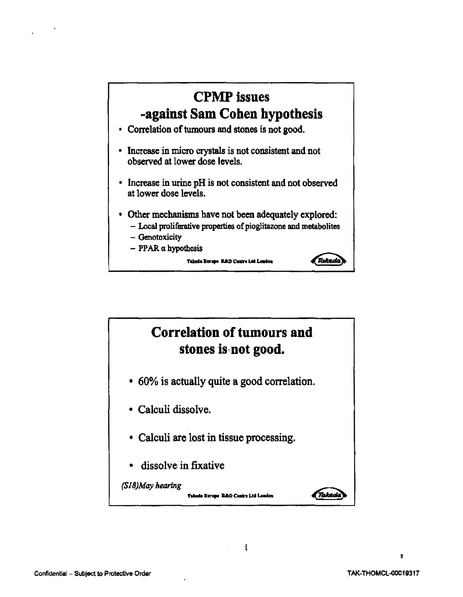## **CPMPissues ..against Sam Cohen hypothesis**

- Correlation of tumours and stones is not good.
- Increase in micro crystals is not consistent and not observed at lower dose levels.
- Increase in urine pH is not consistent and not observed at lower dose levels.
- Other mechanisms have not been adequately explored:
	- Local proliferative properties of pioglitazone and metabolites

.<br>Takedo

- Genotoxicity
- $-$  PPAR  $\alpha$  hypothesis

Takeda Europe R&D Centre Ltd London



 $\mathbf{I}$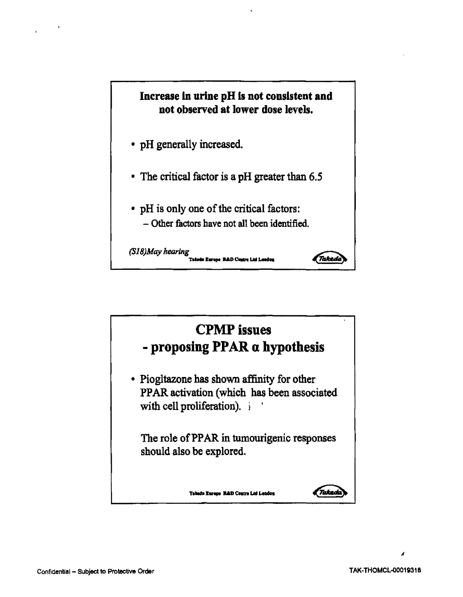

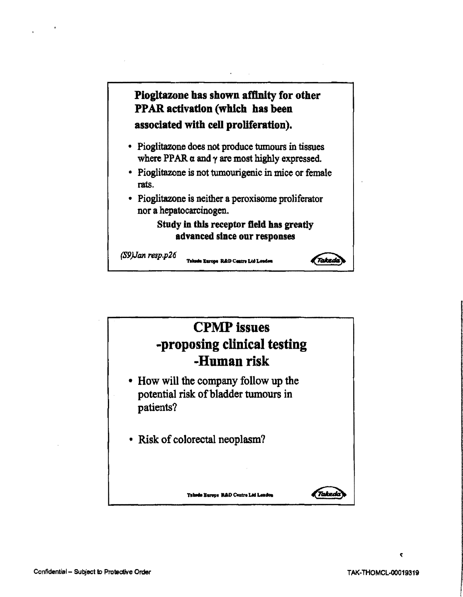Plogltazone has shown afftnlty for other PPAR activation (which has been associated with cell proliferation).

- Pioglitazone does not produce tumours in tissues where PPAR  $\alpha$  and  $\gamma$  are most highly expressed.
- Pioglitazone is not tumourigenic in mice or female rats.
- Pioglitazone is neither a peroxisome proliferator nor a hepatocarcinogen.

## Study in this receptor fleld has greatly advanced since our responses

**Takedo** 

(S9)Jan resp.p26

Takada Europe R&D Centre Ltd London



ċ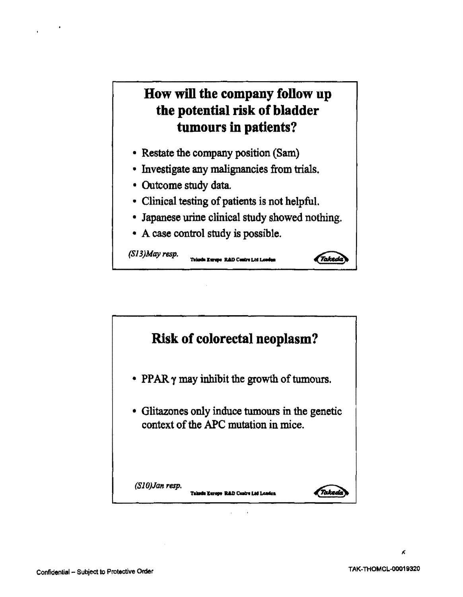## **How wiD the company follow up the potential risk of bladder tumours in patients?**

- Restate the company position (Sam)
- Investigate any malignancies from trials.
- Outcome study data.
- Clinical testing of patients is not helpful.
- Japanese urine clinical study showed nothing.

Tuicada Europe R&D Centre Ltd Londes

Taked

• A case control study is possible.

(S13)May resp.

**Risk of colorectal neoplasm?**  • PPAR  $\gamma$  may inhibit the growth of tumours. • Glitazones only induce tumours in the genetic context of the APC mutation in mice. *(SlO)Jan reap.*  t Takedo Takada Europe R&D Centre Ltd Landon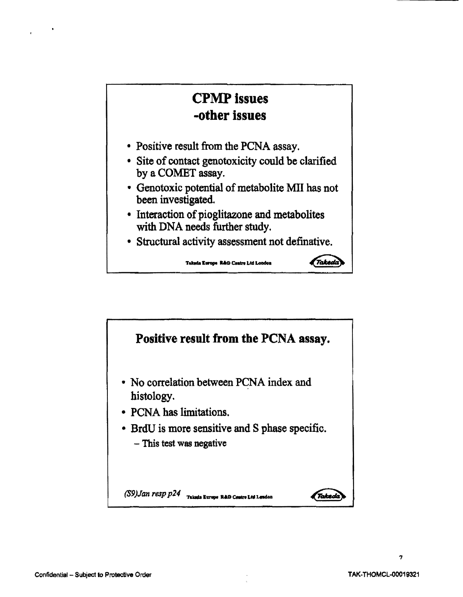

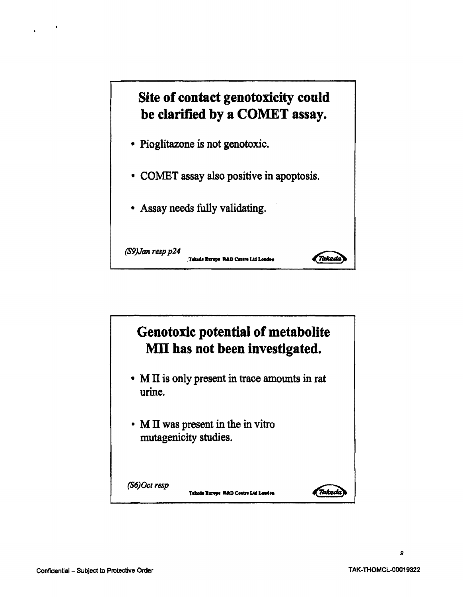



 $\mathbf{o}$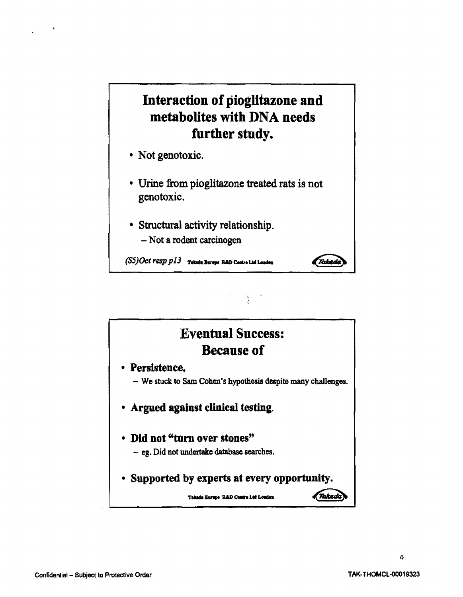## Interaction of pioglltazone and metabolites with DNA needs further study.

- Not genotoxic.
- Urine from pioglitazone treated rats is not genotoxic.

(Takedo

• Structural activity relationship. - Not a rodent carcinogen

 $(S5)$ *Oct*  $resp$  $p13$  Takeda Burepe R&D Centre Ltd Londen